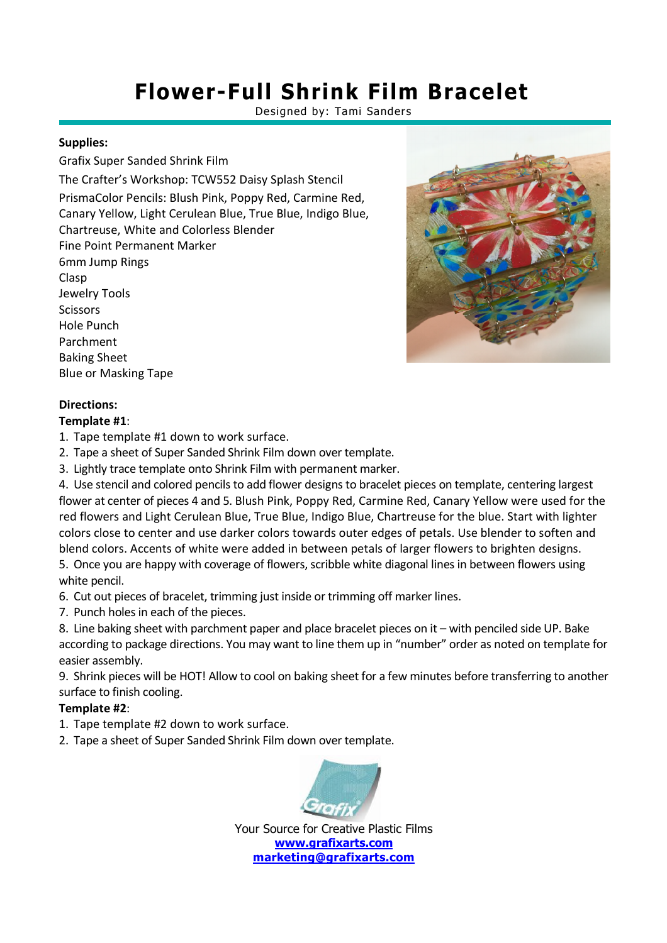## **Flower-Full Shrink Film Bracelet**

Designed by: Tami Sanders

## **Supplies:**

Grafix Super Sanded Shrink Film The Crafter's Workshop: TCW552 Daisy Splash Stencil PrismaColor Pencils: Blush Pink, Poppy Red, Carmine Red, Canary Yellow, Light Cerulean Blue, True Blue, Indigo Blue, Chartreuse, White and Colorless Blender Fine Point Permanent Marker 6mm Jump Rings Clasp Jewelry Tools **Scissors** Hole Punch Parchment Baking Sheet Blue or Masking Tape



### **Directions:**

#### **Template #1**:

- 1. Tape template #1 down to work surface.
- 2. Tape a sheet of Super Sanded Shrink Film down over template.
- 3. Lightly trace template onto Shrink Film with permanent marker.

4. Use stencil and colored pencils to add flower designs to bracelet pieces on template, centering largest flower at center of pieces 4 and 5. Blush Pink, Poppy Red, Carmine Red, Canary Yellow were used for the red flowers and Light Cerulean Blue, True Blue, Indigo Blue, Chartreuse for the blue. Start with lighter colors close to center and use darker colors towards outer edges of petals. Use blender to soften and blend colors. Accents of white were added in between petals of larger flowers to brighten designs.

5. Once you are happy with coverage of flowers, scribble white diagonal lines in between flowers using white pencil.

6. Cut out pieces of bracelet, trimming just inside or trimming off marker lines.

7. Punch holes in each of the pieces.

8. Line baking sheet with parchment paper and place bracelet pieces on it – with penciled side UP. Bake according to package directions. You may want to line them up in "number" order as noted on template for easier assembly.

9. Shrink pieces will be HOT! Allow to cool on baking sheet for a few minutes before transferring to another surface to finish cooling.

## **Template #2**:

- 1. Tape template #2 down to work surface.
- 2. Tape a sheet of Super Sanded Shrink Film down over template.



Your Source for Creative Plastic Films **www.grafixarts.com marketing@grafixarts.com**